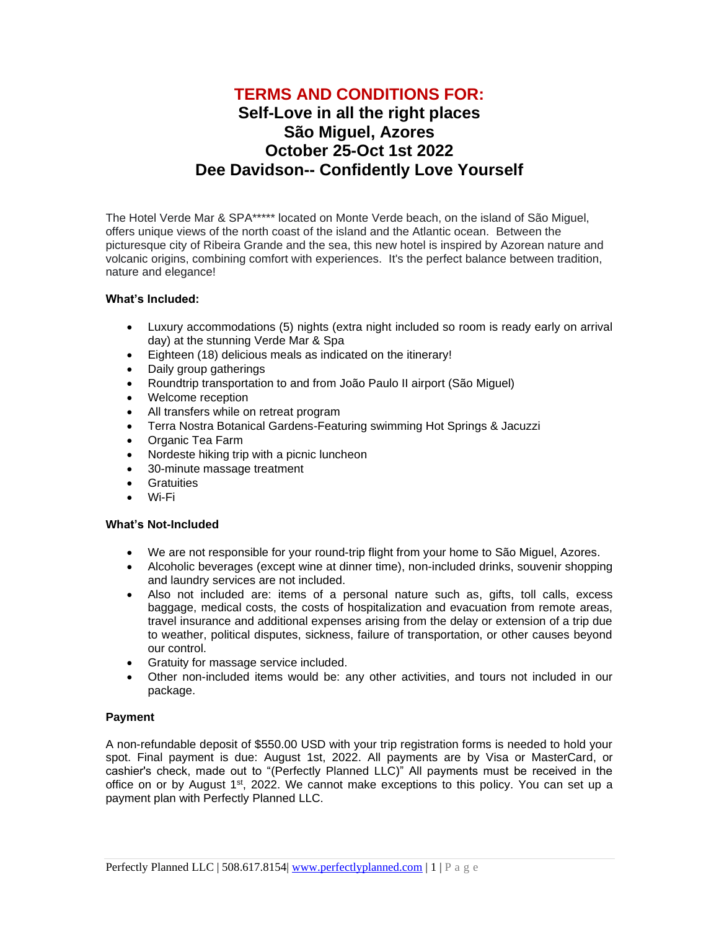# **TERMS AND CONDITIONS FOR: Self-Love in all the right places São Miguel, Azores October 25-Oct 1st 2022**

## **Dee Davidson-- Confidently Love Yourself**

The Hotel Verde Mar & SPA\*\*\*\*\* located on Monte Verde beach, on the island of São Miguel, offers unique views of the north coast of the island and the Atlantic ocean. Between the picturesque city of Ribeira Grande and the sea, this new hotel is inspired by Azorean nature and volcanic origins, combining comfort with experiences. It's the perfect balance between tradition, nature and elegance!

## **What's Included:**

- Luxury accommodations (5) nights (extra night included so room is ready early on arrival day) at the stunning Verde Mar & Spa
- Eighteen (18) delicious meals as indicated on the itinerary!
- Daily group gatherings
- Roundtrip transportation to and from João Paulo II airport (São Miguel)
- Welcome reception
- All transfers while on retreat program
- Terra Nostra Botanical Gardens-Featuring swimming Hot Springs & Jacuzzi
- Organic Tea Farm
- Nordeste hiking trip with a picnic luncheon
- 30-minute massage treatment
- Gratuities
- Wi-Fi

## **What's Not-Included**

- We are not responsible for your round-trip flight from your home to São Miguel, Azores.
- Alcoholic beverages (except wine at dinner time), non-included drinks, souvenir shopping and laundry services are not included.
- Also not included are: items of a personal nature such as, gifts, toll calls, excess baggage, medical costs, the costs of hospitalization and evacuation from remote areas, travel insurance and additional expenses arising from the delay or extension of a trip due to weather, political disputes, sickness, failure of transportation, or other causes beyond our control.
- Gratuity for massage service included.
- Other non-included items would be: any other activities, and tours not included in our package.

## **Payment**

A non-refundable deposit of \$550.00 USD with your trip registration forms is needed to hold your spot. Final payment is due: August 1st, 2022. All payments are by Visa or MasterCard, or cashier's check, made out to "(Perfectly Planned LLC)" All payments must be received in the office on or by August 1<sup>st</sup>, 2022. We cannot make exceptions to this policy. You can set up a payment plan with Perfectly Planned LLC.